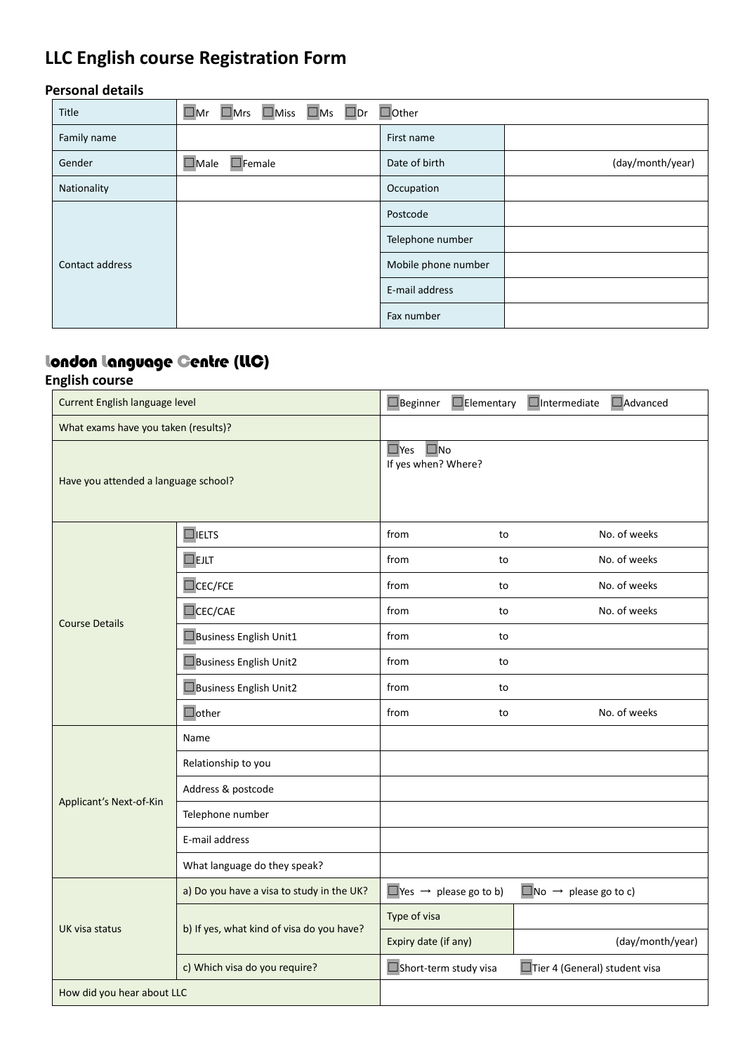# **LLC English course Registration Form**

#### **Personal details**

| Title           | $\Box$ Mrs $\Box$ Miss $\Box$ Ms $\Box$ Dr<br>$\square$ Mr | $\Box$ Other        |                  |  |
|-----------------|------------------------------------------------------------|---------------------|------------------|--|
| Family name     |                                                            | First name          |                  |  |
| Gender          | $\square$ Male<br>$\Box$ Female                            | Date of birth       | (day/month/year) |  |
| Nationality     |                                                            | Occupation          |                  |  |
| Contact address |                                                            | Postcode            |                  |  |
|                 |                                                            | Telephone number    |                  |  |
|                 |                                                            | Mobile phone number |                  |  |
|                 |                                                            | E-mail address      |                  |  |
|                 |                                                            | Fax number          |                  |  |

## london language Gentre (LLC)

### **English course**

| Current English language level       |                                           | $\Box$ Beginner                                      | $\Box$ Elementary                        | <b>Nadvanced</b><br>$\Box$ Intermediate |
|--------------------------------------|-------------------------------------------|------------------------------------------------------|------------------------------------------|-----------------------------------------|
| What exams have you taken (results)? |                                           |                                                      |                                          |                                         |
| Have you attended a language school? |                                           | $\square$ No<br>$\square$ Yes<br>If yes when? Where? |                                          |                                         |
| <b>Course Details</b>                | $\Box$ IELTS                              | from                                                 | to                                       | No. of weeks                            |
|                                      | <b>OEJLT</b>                              | from                                                 | to                                       | No. of weeks                            |
|                                      | $\Box$ CEC/FCE                            | from                                                 | to                                       | No. of weeks                            |
|                                      | CEC/CAE                                   | from                                                 | to                                       | No. of weeks                            |
|                                      | Business English Unit1                    | from                                                 | to                                       |                                         |
|                                      | Business English Unit2                    | from                                                 | to                                       |                                         |
|                                      | Business English Unit2                    | from                                                 | to                                       |                                         |
|                                      | $\Box$ other                              | from                                                 | to                                       | No. of weeks                            |
| Applicant's Next-of-Kin              | Name                                      |                                                      |                                          |                                         |
|                                      | Relationship to you                       |                                                      |                                          |                                         |
|                                      | Address & postcode                        |                                                      |                                          |                                         |
|                                      | Telephone number                          |                                                      |                                          |                                         |
|                                      | E-mail address                            |                                                      |                                          |                                         |
|                                      | What language do they speak?              |                                                      |                                          |                                         |
| UK visa status                       | a) Do you have a visa to study in the UK? |                                                      | $\Box$ Yes $\rightarrow$ please go to b) | $\Box$ No $\rightarrow$ please go to c) |
|                                      | b) If yes, what kind of visa do you have? | Type of visa                                         |                                          |                                         |
|                                      |                                           | Expiry date (if any)                                 |                                          | (day/month/year)                        |
|                                      | c) Which visa do you require?             | Short-term study visa                                |                                          | Tier 4 (General) student visa           |
| How did you hear about LLC           |                                           |                                                      |                                          |                                         |